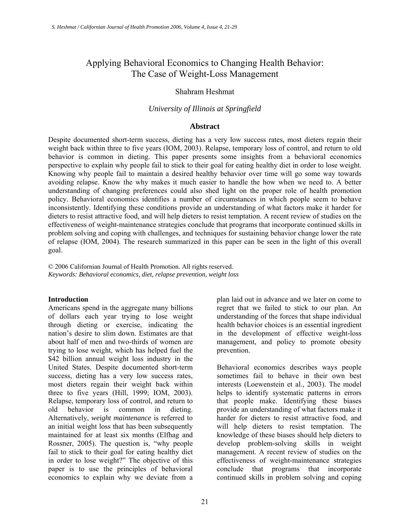# Applying Behavioral Economics to Changing Health Behavior: The Case of Weight-Loss Management

## Shahram Heshmat

## *University of Illinois at Springfield*

#### **Abstract**

Despite documented short-term success, dieting has a very low success rates, most dieters regain their weight back within three to five years (IOM, 2003). Relapse, temporary loss of control, and return to old behavior is common in dieting. This paper presents some insights from a behavioral economics perspective to explain why people fail to stick to their goal for eating healthy diet in order to lose weight. Knowing why people fail to maintain a desired healthy behavior over time will go some way towards avoiding relapse. Know the why makes it much easier to handle the how when we need to. A better understanding of changing preferences could also shed light on the proper role of health promotion policy. Behavioral economics identifies a number of circumstances in which people seem to behave inconsistently. Identifying these conditions provide an understanding of what factors make it harder for dieters to resist attractive food, and will help dieters to resist temptation. A recent review of studies on the effectiveness of weight-maintenance strategies conclude that programs that incorporate continued skills in problem solving and coping with challenges, and techniques for sustaining behavior change lower the rate of relapse (IOM, 2004). The research summarized in this paper can be seen in the light of this overall goal.

© 2006 Californian Journal of Health Promotion. All rights reserved. *Keywords: Behavioral economics, diet, relapse prevention, weight loss* 

#### **Introduction**

Americans spend in the aggregate many billions of dollars each year trying to lose weight through dieting or exercise, indicating the nation's desire to slim down. Estimates are that about half of men and two-thirds of women are trying to lose weight, which has helped fuel the \$42 billion annual weight loss industry in the United States. Despite documented short-term success, dieting has a very low success rates, most dieters regain their weight back within three to five years (Hill, 1999; IOM, 2003). Relapse, temporary loss of control, and return to old behavior is common in dieting. Alternatively, *weight maintenance* is referred to an initial weight loss that has been subsequently maintained for at least six months (Elfhag and Rossner, 2005). The question is, "why people fail to stick to their goal for eating healthy diet in order to lose weight?" The objective of this paper is to use the principles of behavioral economics to explain why we deviate from a

plan laid out in advance and we later on come to regret that we failed to stick to our plan. An understanding of the forces that shape individual health behavior choices is an essential ingredient in the development of effective weight-loss management, and policy to promote obesity prevention.

Behavioral economics describes ways people sometimes fail to behave in their own best interests (Loewenstein et al., 2003). The model helps to identify systematic patterns in errors that people make. Identifying these biases provide an understanding of what factors make it harder for dieters to resist attractive food, and will help dieters to resist temptation. The knowledge of these biases should help dieters to develop problem-solving skills in weight management. A recent review of studies on the effectiveness of weight-maintenance strategies conclude that programs that incorporate continued skills in problem solving and coping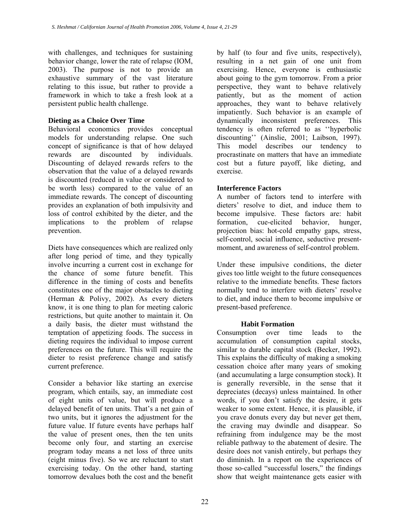with challenges, and techniques for sustaining behavior change, lower the rate of relapse (IOM, 2003). The purpose is not to provide an exhaustive summary of the vast literature relating to this issue, but rather to provide a framework in which to take a fresh look at a persistent public health challenge.

## **Dieting as a Choice Over Time**

Behavioral economics provides conceptual models for understanding relapse. One such concept of significance is that of how delayed rewards are discounted by individuals. Discounting of delayed rewards refers to the observation that the value of a delayed rewards is discounted (reduced in value or considered to be worth less) compared to the value of an immediate rewards. The concept of discounting provides an explanation of both impulsivity and loss of control exhibited by the dieter, and the implications to the problem of relapse prevention.

Diets have consequences which are realized only after long period of time, and they typically involve incurring a current cost in exchange for the chance of some future benefit. This difference in the timing of costs and benefits constitutes one of the major obstacles to dieting (Herman & Polivy, 2002). As every dieters know, it is one thing to plan for meeting caloric restrictions, but quite another to maintain it. On a daily basis, the dieter must withstand the temptation of appetizing foods. The success in dieting requires the individual to impose current preferences on the future. This will require the dieter to resist preference change and satisfy current preference.

Consider a behavior like starting an exercise program, which entails, say, an immediate cost of eight units of value, but will produce a delayed benefit of ten units. That's a net gain of two units, but it ignores the adjustment for the future value. If future events have perhaps half the value of present ones, then the ten units become only four, and starting an exercise program today means a net loss of three units (eight minus five). So we are reluctant to start exercising today. On the other hand, starting tomorrow devalues both the cost and the benefit

by half (to four and five units, respectively), resulting in a net gain of one unit from exercising. Hence, everyone is enthusiastic about going to the gym tomorrow. From a prior perspective, they want to behave relatively patiently, but as the moment of action approaches, they want to behave relatively impatiently. Such behavior is an example of dynamically inconsistent preferences. This tendency is often referred to as ''hyperbolic discounting'' (Ainslie, 2001; Laibson, 1997). This model describes our tendency to procrastinate on matters that have an immediate cost but a future payoff, like dieting, and exercise.

# **Interference Factors**

A number of factors tend to interfere with dieters' resolve to diet, and induce them to become impulsive. These factors are: habit formation, cue-elicited behavior, hunger, projection bias: hot-cold empathy gaps, stress, self-control, social influence, seductive presentmoment, and awareness of self-control problem.

Under these impulsive conditions, the dieter gives too little weight to the future consequences relative to the immediate benefits. These factors normally tend to interfere with dieters' resolve to diet, and induce them to become impulsive or present-based preference.

# **Habit Formation**

Consumption over time leads to the accumulation of consumption capital stocks, similar to durable capital stock (Becker, 1992). This explains the difficulty of making a smoking cessation choice after many years of smoking (and accumulating a large consumption stock). It is generally reversible, in the sense that it depreciates (decays) unless maintained. In other words, if you don't satisfy the desire, it gets weaker to some extent. Hence, it is plausible, if you crave donuts every day but never get them, the craving may dwindle and disappear. So refraining from indulgence may be the most reliable pathway to the abatement of desire. The desire does not vanish entirely, but perhaps they do diminish. In a report on the experiences of those so-called "successful losers," the findings show that weight maintenance gets easier with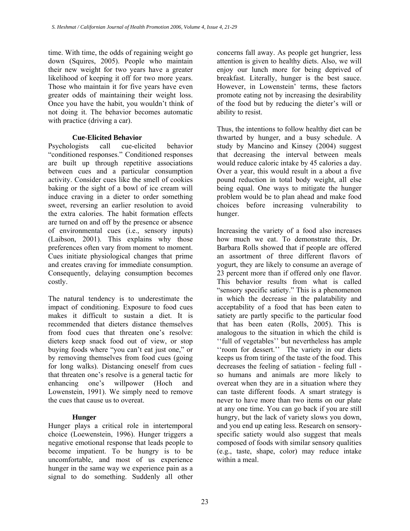time. With time, the odds of regaining weight go down (Squires, 2005). People who maintain their new weight for two years have a greater likelihood of keeping it off for two more years. Those who maintain it for five years have even greater odds of maintaining their weight loss. Once you have the habit, you wouldn't think of not doing it. The behavior becomes automatic with practice (driving a car).

# **Cue-Elicited Behavior**

Psychologists call cue-elicited behavior "conditioned responses." Conditioned responses are built up through repetitive associations between cues and a particular consumption activity. Consider cues like the smell of cookies baking or the sight of a bowl of ice cream will induce craving in a dieter to order something sweet, reversing an earlier resolution to avoid the extra calories. The habit formation effects are turned on and off by the presence or absence of environmental cues (i.e., sensory inputs) (Laibson, 2001). This explains why those preferences often vary from moment to moment. Cues initiate physiological changes that prime and creates craving for immediate consumption. Consequently, delaying consumption becomes costly.

The natural tendency is to underestimate the impact of conditioning. Exposure to food cues makes it difficult to sustain a diet. It is recommended that dieters distance themselves from food cues that threaten one's resolve: dieters keep snack food out of view, or stop buying foods where "you can't eat just one," or by removing themselves from food cues (going for long walks). Distancing oneself from cues that threaten one's resolve is a general tactic for enhancing one's willpower (Hoch and Lowenstein, 1991). We simply need to remove the cues that cause us to overeat.

# **Hunger**

Hunger plays a critical role in intertemporal choice (Loewenstein, 1996). Hunger triggers a negative emotional response that leads people to become impatient. To be hungry is to be uncomfortable, and most of us experience hunger in the same way we experience pain as a signal to do something. Suddenly all other

concerns fall away. As people get hungrier, less attention is given to healthy diets. Also, we will enjoy our lunch more for being deprived of breakfast. Literally, hunger is the best sauce. However, in Lowenstein' terms, these factors promote eating not by increasing the desirability of the food but by reducing the dieter's will or ability to resist.

Thus, the intentions to follow healthy diet can be thwarted by hunger, and a busy schedule. A study by Mancino and Kinsey (2004) suggest that decreasing the interval between meals would reduce caloric intake by 45 calories a day. Over a year, this would result in a about a five pound reduction in total body weight, all else being equal. One ways to mitigate the hunger problem would be to plan ahead and make food choices before increasing vulnerability to hunger.

Increasing the variety of a food also increases how much we eat. To demonstrate this, Dr. Barbara Rolls showed that if people are offered an assortment of three different flavors of yogurt, they are likely to consume an average of 23 percent more than if offered only one flavor. This behavior results from what is called "sensory specific satiety." This is a phenomenon in which the decrease in the palatability and acceptability of a food that has been eaten to satiety are partly specific to the particular food that has been eaten (Rolls, 2005). This is analogous to the situation in which the child is ''full of vegetables'' but nevertheless has ample ''room for dessert.'' The variety in our diets keeps us from tiring of the taste of the food. This decreases the feeling of satiation - feeling full so humans and animals are more likely to overeat when they are in a situation where they can taste different foods. A smart strategy is never to have more than two items on our plate at any one time. You can go back if you are still hungry, but the lack of variety slows you down, and you end up eating less. Research on sensoryspecific satiety would also suggest that meals composed of foods with similar sensory qualities (e.g., taste, shape, color) may reduce intake within a meal.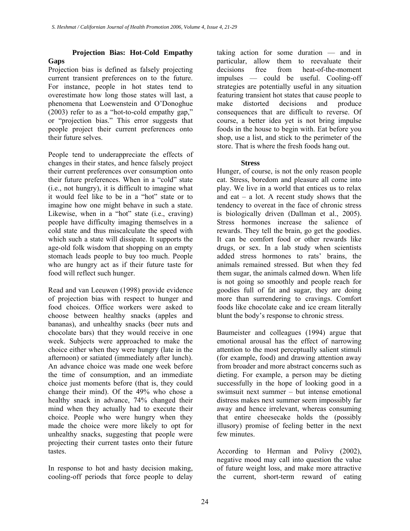## **Projection Bias: Hot-Cold Empathy Gaps**

Projection bias is defined as falsely projecting current transient preferences on to the future. For instance, people in hot states tend to overestimate how long those states will last, a phenomena that Loewenstein and O'Donoghue (2003) refer to as a "hot-to-cold empathy gap," or "projection bias." This error suggests that people project their current preferences onto their future selves.

People tend to underappreciate the effects of changes in their states, and hence falsely project their current preferences over consumption onto their future preferences. When in a "cold" state (i.e., not hungry), it is difficult to imagine what it would feel like to be in a "hot" state or to imagine how one might behave in such a state. Likewise, when in a "hot" state (i.e., craving) people have difficulty imaging themselves in a cold state and thus miscalculate the speed with which such a state will dissipate. It supports the age-old folk wisdom that shopping on an empty stomach leads people to buy too much. People who are hungry act as if their future taste for food will reflect such hunger.

Read and van Leeuwen (1998) provide evidence of projection bias with respect to hunger and food choices. Office workers were asked to choose between healthy snacks (apples and bananas), and unhealthy snacks (beer nuts and chocolate bars) that they would receive in one week. Subjects were approached to make the choice either when they were hungry (late in the afternoon) or satiated (immediately after lunch). An advance choice was made one week before the time of consumption, and an immediate choice just moments before (that is, they could change their mind). Of the 49% who chose a healthy snack in advance, 74% changed their mind when they actually had to execute their choice. People who were hungry when they made the choice were more likely to opt for unhealthy snacks, suggesting that people were projecting their current tastes onto their future tastes.

In response to hot and hasty decision making, cooling-off periods that force people to delay

taking action for some duration — and in particular, allow them to reevaluate their decisions free from heat-of-the-moment impulses — could be useful. Cooling-off strategies are potentially useful in any situation featuring transient hot states that cause people to make distorted decisions and produce consequences that are difficult to reverse. Of course, a better idea yet is not bring impulse foods in the house to begin with. Eat before you shop, use a list, and stick to the perimeter of the store. That is where the fresh foods hang out.

#### **Stress**

Hunger, of course, is not the only reason people eat. Stress, boredom and pleasure all come into play. We live in a world that entices us to relax and eat  $-$  a lot. A recent study shows that the tendency to overeat in the face of chronic stress is biologically driven (Dallman et al., 2005). Stress hormones increase the salience of rewards. They tell the brain, go get the goodies. It can be comfort food or other rewards like drugs, or sex. In a lab study when scientists added stress hormones to rats' brains, the animals remained stressed. But when they fed them sugar, the animals calmed down. When life is not going so smoothly and people reach for goodies full of fat and sugar, they are doing more than surrendering to cravings. Comfort foods like chocolate cake and ice cream literally blunt the body's response to chronic stress.

Baumeister and colleagues (1994) argue that emotional arousal has the effect of narrowing attention to the most perceptually salient stimuli (for example, food) and drawing attention away from broader and more abstract concerns such as dieting. For example, a person may be dieting successfully in the hope of looking good in a swimsuit next summer – but intense emotional distress makes next summer seem impossibly far away and hence irrelevant, whereas consuming that entire cheesecake holds the (possibly illusory) promise of feeling better in the next few minutes

According to Herman and Polivy (2002), negative mood may call into question the value of future weight loss, and make more attractive the current, short-term reward of eating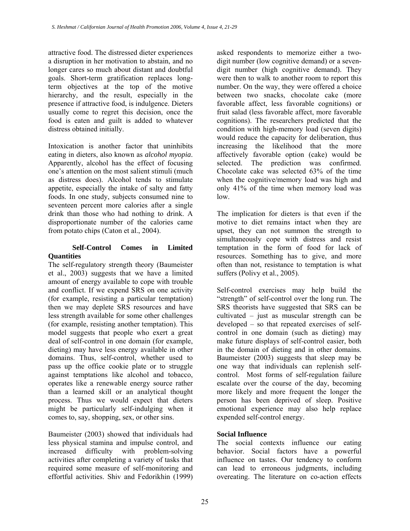attractive food. The distressed dieter experiences a disruption in her motivation to abstain, and no longer cares so much about distant and doubtful goals. Short-term gratification replaces longterm objectives at the top of the motive hierarchy, and the result, especially in the presence if attractive food, is indulgence. Dieters usually come to regret this decision, once the food is eaten and guilt is added to whatever distress obtained initially.

Intoxication is another factor that uninhibits eating in dieters, also known as *alcohol myopia*. Apparently, alcohol has the effect of focusing one's attention on the most salient stimuli (much as distress does). Alcohol tends to stimulate appetite, especially the intake of salty and fatty foods. In one study, subjects consumed nine to seventeen percent more calories after a single drink than those who had nothing to drink. A disproportionate number of the calories came from potato chips (Caton et al., 2004).

## **Self-Control Comes in Limited Quantities**

The self-regulatory strength theory (Baumeister et al., 2003) suggests that we have a limited amount of energy available to cope with trouble and conflict. If we expend SRS on one activity (for example, resisting a particular temptation) then we may deplete SRS resources and have less strength available for some other challenges (for example, resisting another temptation). This model suggests that people who exert a great deal of self-control in one domain (for example, dieting) may have less energy available in other domains. Thus, self-control, whether used to pass up the office cookie plate or to struggle against temptations like alcohol and tobacco, operates like a renewable energy source rather than a learned skill or an analytical thought process. Thus we would expect that dieters might be particularly self-indulging when it comes to, say, shopping, sex, or other sins.

Baumeister (2003) showed that individuals had less physical stamina and impulse control, and increased difficulty with problem-solving activities after completing a variety of tasks that required some measure of self-monitoring and effortful activities. Shiv and Fedorikhin (1999) asked respondents to memorize either a twodigit number (low cognitive demand) or a sevendigit number (high cognitive demand). They were then to walk to another room to report this number. On the way, they were offered a choice between two snacks, chocolate cake (more favorable affect, less favorable cognitions) or fruit salad (less favorable affect, more favorable cognitions). The researchers predicted that the condition with high-memory load (seven digits) would reduce the capacity for deliberation, thus increasing the likelihood that the more affectively favorable option (cake) would be selected. The prediction was confirmed. Chocolate cake was selected 63% of the time when the cognitive/memory load was high and only 41% of the time when memory load was low.

The implication for dieters is that even if the motive to diet remains intact when they are upset, they can not summon the strength to simultaneously cope with distress and resist temptation in the form of food for lack of resources. Something has to give, and more often than not, resistance to temptation is what suffers (Polivy et al., 2005).

Self-control exercises may help build the "strength" of self-control over the long run. The SRS theorists have suggested that SRS can be cultivated – just as muscular strength can be developed – so that repeated exercises of selfcontrol in one domain (such as dieting) may make future displays of self-control easier, both in the domain of dieting and in other domains. Baumeister (2003) suggests that sleep may be one way that individuals can replenish selfcontrol. Most forms of self-regulation failure escalate over the course of the day, becoming more likely and more frequent the longer the person has been deprived of sleep. Positive emotional experience may also help replace expended self-control energy.

# **Social Influence**

The social contexts influence our eating behavior. Social factors have a powerful influence on tastes. Our tendency to conform can lead to erroneous judgments, including overeating. The literature on co-action effects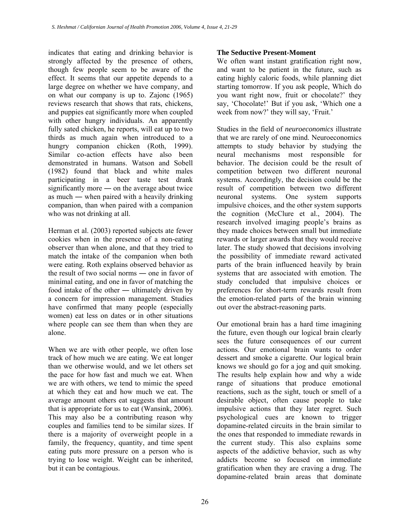indicates that eating and drinking behavior is strongly affected by the presence of others, though few people seem to be aware of the effect. It seems that our appetite depends to a large degree on whether we have company, and on what our company is up to. Zajonc (1965) reviews research that shows that rats, chickens, and puppies eat significantly more when coupled with other hungry individuals. An apparently fully sated chicken, he reports, will eat up to two thirds as much again when introduced to a hungry companion chicken (Roth, 1999). Similar co-action effects have also been demonstrated in humans. Watson and Sobell (1982) found that black and white males participating in a beer taste test drank significantly more ― on the average about twice as much ― when paired with a heavily drinking companion, than when paired with a companion who was not drinking at all.

Herman et al. (2003) reported subjects ate fewer cookies when in the presence of a non-eating observer than when alone, and that they tried to match the intake of the companion when both were eating. Roth explains observed behavior as the result of two social norms ― one in favor of minimal eating, and one in favor of matching the food intake of the other ― ultimately driven by a concern for impression management. Studies have confirmed that many people (especially women) eat less on dates or in other situations where people can see them than when they are alone.

When we are with other people, we often lose track of how much we are eating. We eat longer than we otherwise would, and we let others set the pace for how fast and much we eat. When we are with others, we tend to mimic the speed at which they eat and how much we eat. The average amount others eat suggests that amount that is appropriate for us to eat (Wansink, 2006). This may also be a contributing reason why couples and families tend to be similar sizes. If there is a majority of overweight people in a family, the frequency, quantity, and time spent eating puts more pressure on a person who is trying to lose weight. Weight can be inherited, but it can be contagious.

# **The Seductive Present-Moment**

We often want instant gratification right now, and want to be patient in the future, such as eating highly caloric foods, while planning diet starting tomorrow. If you ask people, Which do you want right now, fruit or chocolate?' they say, 'Chocolate!' But if you ask, 'Which one a week from now?' they will say, 'Fruit.'

Studies in the field of *neuroeconomics* illustrate that we are rarely of one mind. Neuroeconomics attempts to study behavior by studying the neural mechanisms most responsible for behavior. The decision could be the result of competition between two different neuronal systems. Accordingly, the decision could be the result of competition between two different neuronal systems. One system supports impulsive choices, and the other system supports the cognition (McClure et al., 2004). The research involved imaging people's brains as they made choices between small but immediate rewards or larger awards that they would receive later. The study showed that decisions involving the possibility of immediate reward activated parts of the brain influenced heavily by brain systems that are associated with emotion. The study concluded that impulsive choices or preferences for short-term rewards result from the emotion-related parts of the brain winning out over the abstract-reasoning parts.

Our emotional brain has a hard time imagining the future, even though our logical brain clearly sees the future consequences of our current actions. Our emotional brain wants to order dessert and smoke a cigarette. Our logical brain knows we should go for a jog and quit smoking. The results help explain how and why a wide range of situations that produce emotional reactions, such as the sight, touch or smell of a desirable object, often cause people to take impulsive actions that they later regret. Such psychological cues are known to trigger dopamine-related circuits in the brain similar to the ones that responded to immediate rewards in the current study. This also explains some aspects of the addictive behavior, such as why addicts become so focused on immediate gratification when they are craving a drug. The dopamine-related brain areas that dominate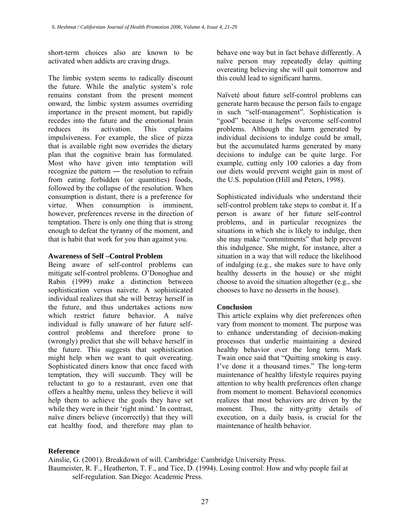short-term choices also are known to be activated when addicts are craving drugs.

The limbic system seems to radically discount the future. While the analytic system's role remains constant from the present moment onward, the limbic system assumes overriding importance in the present moment, but rapidly recedes into the future and the emotional brain reduces its activation. This explains impulsiveness. For example, the slice of pizza that is available right now overrides the dietary plan that the cognitive brain has formulated. Most who have given into temptation will recognize the pattern ― the resolution to refrain from eating forbidden (or quantities) foods, followed by the collapse of the resolution. When consumption is distant, there is a preference for virtue. When consumption is imminent, however, preferences reverse in the direction of temptation. There is only one thing that is strong enough to defeat the tyranny of the moment, and that is habit that work for you than against you.

#### **Awareness of Self –Control Problem**

Being aware of self-control problems can mitigate self-control problems. O'Donoghue and Rabin (1999) make a distinction between sophistication versus naivete. A sophisticated individual realizes that she will betray herself in the future, and thus undertakes actions now which restrict future behavior. A naïve individual is fully unaware of her future selfcontrol problems and therefore prone to (wrongly) predict that she will behave herself in the future. This suggests that sophistication might help when we want to quit overeating. Sophisticated diners know that once faced with temptation, they will succumb. They will be reluctant to go to a restaurant, even one that offers a healthy menu, unless they believe it will help them to achieve the goals they have set while they were in their 'right mind.' In contrast, naïve diners believe (incorrectly) that they will eat healthy food, and therefore may plan to

behave one way but in fact behave differently. A naïve person may repeatedly delay quitting overeating believing she will quit tomorrow and this could lead to significant harms.

Naïveté about future self-control problems can generate harm because the person fails to engage in such "self-management". Sophistication is "good" because it helps overcome self-control problems. Although the harm generated by individual decisions to indulge could be small, but the accumulated harms generated by many decisions to indulge can be quite large. For example, cutting only 100 calories a day from our diets would prevent weight gain in most of the U.S. population (Hill and Peters, 1998).

Sophisticated individuals who understand their self-control problem take steps to combat it. If a person is aware of her future self-control problems, and in particular recognizes the situations in which she is likely to indulge, then she may make "commitments" that help prevent this indulgence. She might, for instance, alter a situation in a way that will reduce the likelihood of indulging (e.g., she makes sure to have only healthy desserts in the house) or she might choose to avoid the situation altogether (e.g., she chooses to have no desserts in the house).

# **Conclusion**

This article explains why diet preferences often vary from moment to moment. The purpose was to enhance understanding of decision-making processes that underlie maintaining a desired healthy behavior over the long term. Mark Twain once said that "Quitting smoking is easy. I've done it a thousand times." The long-term maintenance of healthy lifestyle requires paying attention to why health preferences often change from moment to moment. Behavioral economics realizes that most behaviors are driven by the moment. Thus, the nitty-gritty details of execution, on a daily basis, is crucial for the maintenance of health behavior.

#### **Reference**

Ainslie, G. (2001). Breakdown of will. Cambridge: Cambridge University Press. Baumeister, R. F., Heatherton, T. F., and Tice, D. (1994). Losing control: How and why people fail at self-regulation. San Diego: Academic Press.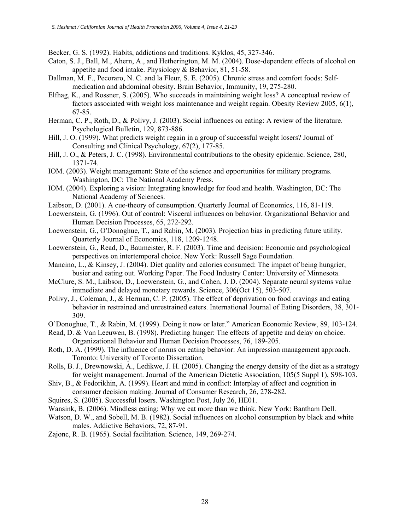Becker, G. S. (1992). Habits, addictions and traditions. Kyklos, 45, 327-346.

- Caton, S. J., Ball, M., Ahern, A., and Hetherington, M. M. (2004). Dose-dependent effects of alcohol on appetite and food intake. Physiology & Behavior, 81, 51-58.
- Dallman, M. F., Pecoraro, N. C. and la Fleur, S. E. (2005). Chronic stress and comfort foods: Selfmedication and abdominal obesity. Brain Behavior, Immunity, 19, 275-280.
- Elfhag, K., and Rossner, S. (2005). Who succeeds in maintaining weight loss? A conceptual review of factors associated with weight loss maintenance and weight regain. Obesity Review 2005, 6(1), 67-85.
- Herman, C. P., Roth, D., & Polivy, J. (2003). Social influences on eating: A review of the literature. Psychological Bulletin, 129, 873-886.
- Hill, J. O. (1999). What predicts weight regain in a group of successful weight losers? Journal of Consulting and Clinical Psychology, 67(2), 177-85.
- Hill, J. O., & Peters, J. C. (1998). Environmental contributions to the obesity epidemic. Science, 280, 1371-74.
- IOM. (2003). Weight management: State of the science and opportunities for military programs. Washington, DC: The National Academy Press.
- IOM. (2004). Exploring a vision: Integrating knowledge for food and health. Washington, DC: The National Academy of Sciences.
- Laibson, D. (2001). A cue-theory of consumption. Quarterly Journal of Economics, 116, 81-119.
- Loewenstein, G. (1996). Out of control: Visceral influences on behavior. Organizational Behavior and Human Decision Processes, 65, 272-292.
- Loewenstein, G., O'Donoghue, T., and Rabin, M. (2003). Projection bias in predicting future utility. Quarterly Journal of Economics, 118, 1209-1248.
- Loewenstein, G., Read, D., Baumeister, R. F. (2003). Time and decision: Economic and psychological perspectives on intertemporal choice. New York: Russell Sage Foundation.
- Mancino, L., & Kinsey, J. (2004). Diet quality and calories consumed: The impact of being hungrier, busier and eating out. Working Paper. The Food Industry Center: University of Minnesota.
- McClure, S. M., Laibson, D., Loewenstein, G., and Cohen, J. D. (2004). Separate neural systems value immediate and delayed monetary rewards. Science, 306(Oct 15), 503-507.
- Polivy, J., Coleman, J., & Herman, C. P. (2005). The effect of deprivation on food cravings and eating behavior in restrained and unrestrained eaters. International Journal of Eating Disorders, 38, 301- 309.
- O'Donoghue, T., & Rabin, M. (1999). Doing it now or later." American Economic Review, 89, 103-124.
- Read, D. & Van Leeuwen, B. (1998). Predicting hunger: The effects of appetite and delay on choice. Organizational Behavior and Human Decision Processes, 76, 189-205.
- Roth, D. A. (1999). The influence of norms on eating behavior: An impression management approach. Toronto: University of Toronto Dissertation.
- Rolls, B. J., Drewnowski, A., Ledikwe, J. H. (2005). Changing the energy density of the diet as a strategy for weight management. Journal of the American Dietetic Association, 105(5 Suppl 1), S98-103.
- Shiv, B., & Fedorikhin, A. (1999). Heart and mind in conflict: Interplay of affect and cognition in consumer decision making. Journal of Consumer Research, 26, 278-282.
- Squires, S. (2005). Successful losers. Washington Post, July 26, HE01.
- Wansink, B. (2006). Mindless eating: Why we eat more than we think. New York: Bantham Dell.
- Watson, D. W., and Sobell, M. B. (1982). Social influences on alcohol consumption by black and white males. Addictive Behaviors, 72, 87-91.
- Zajonc, R. B. (1965). Social facilitation. Science, 149, 269-274.